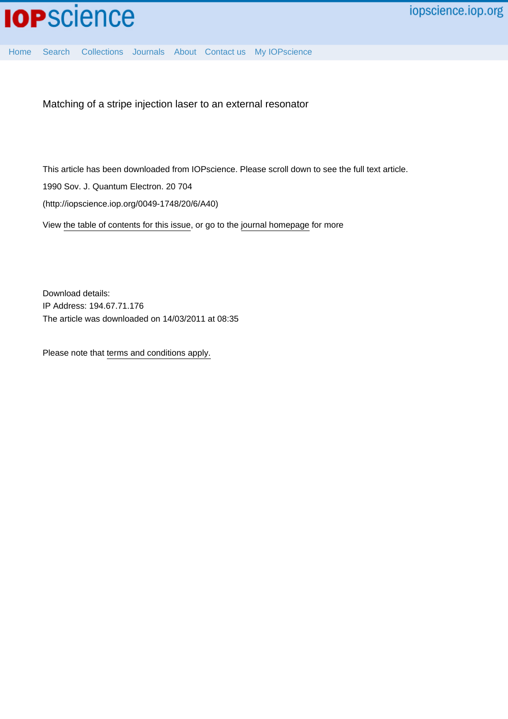[Home](http://iopscience.iop.org/) [Search](http://iopscience.iop.org/search) [Collections](http://iopscience.iop.org/collections) [Journals](http://iopscience.iop.org/journals) [About](http://iopscience.iop.org/page/aboutioppublishing) [Contact us](http://iopscience.iop.org/contact) [My IOPscience](http://iopscience.iop.org/myiopscience)

Matching of a stripe injection laser to an external resonator

This article has been downloaded from IOPscience. Please scroll down to see the full text article.

1990 Sov. J. Quantum Electron. 20 704

(http://iopscience.iop.org/0049-1748/20/6/A40)

View [the table of contents for this issue](http://iopscience.iop.org/0049-1748/20/6), or go to the [journal homepage](http://iopscience.iop.org/0049-1748) for more

Download details: IP Address: 194.67.71.176 The article was downloaded on 14/03/2011 at 08:35

Please note that [terms and conditions apply.](http://iopscience.iop.org/page/terms)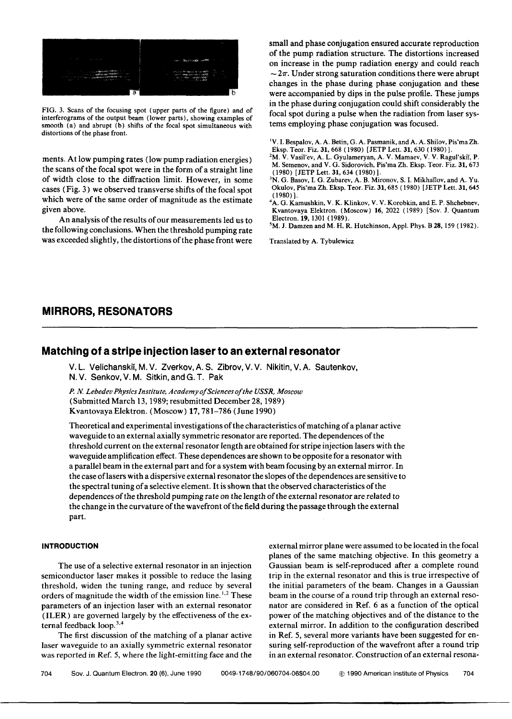was exceeded slightly, the distortions of the phase from the phase from the phase from the phase from the phase f

# **Matching of a stripe injection laser to an external resonator**

V. L. Velichanskiı̆, M. V. Zverkov, A. S. Zibrov, V. V. Nikitin, V. A. Sautenkov, N.V. Senkov.V.M. Sitkin.andG.T. Pak

*P. N. Lebedev Physics Institute, Academy of Sciences of the USSR, Moscow* (Submitted March 13,1989; resubmitted December 28,1989) Kvantovaya Elektron. (Moscow) 17,781-786 (June 1990)

Theoretical and experimental investigations of the characteristics of matching of a planar active waveguide to an external axially symmetric resonator are reported. The dependences of the threshold current on the external resonator length are obtained for stripe injection lasers with the waveguide amplification effect. These dependences are shown to be opposite for a resonator with a parallel beam in the external part and for a system with beam focusing by an external mirror. In the case of lasers with a dispersive external resonator the slopes of the dependences are sensitive to the spectral tuning of a selective element. It is shown that the observed characteristics of the dependences of the threshold pumping rate on the length of the external resonator are related to the change in the curvature of the wavefront of the field during the passage through the external part.

Translated by A. Tybulewicz and the A. Tybulewicz and the A. Tybulewicz and the A. Tybulewicz and the A. Tybulewicz

### **INTRODUCTION**

The use of a selective external resonator in an injection semiconductor laser makes it possible to reduce the lasing threshold, widen the tuning range, and reduce by several orders of magnitude the width of the emission line.<sup>1,2</sup> These parameters of an injection laser with an external resonator (ILER) are governed largely by the effectiveness of the external feedback loop.<sup>3,4</sup>

The first discussion of the matching of a planar active laser waveguide to an axially symmetric external resonator was reported in Ref. 5, where the light-emitting face and the

external mirror plane were assumed to be located in the focal planes of the same matching objective. In this geometry a Gaussian beam is self-reproduced after a complete round trip in the external resonator and this is true irrespective of the initial parameters of the beam. Changes in a Gaussian beam in the course of a round trip through an external resonator are considered in Ref. 6 as a function of the optical power of the matching objectives and of the distance to the external mirror. In addition to the configuration described in Ref. 5, several more variants have been suggested for ensuring self-reproduction of the wavefront after a round trip in an external resonator. Construction of an external resona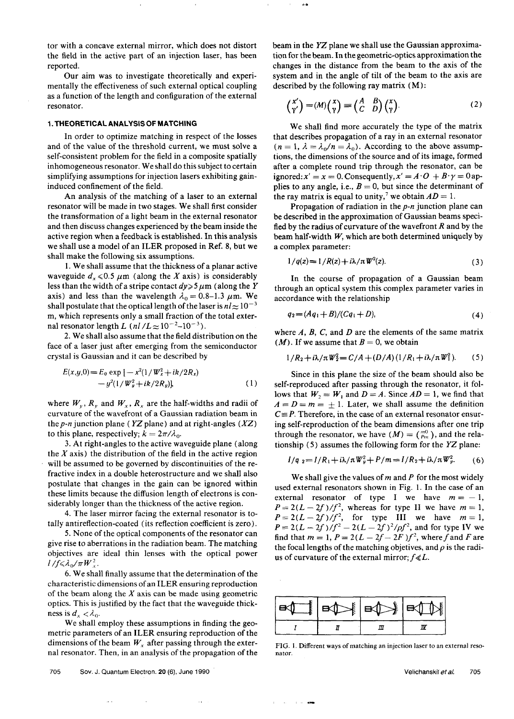tor with a concave external mirror, which does not distort the field in the active part of an injection laser, has been reported.

Our aim was to investigate theoretically and experimentally the effectiveness of such external optical coupling as a function of the length and configuration of the external resonator.

#### **1. THEORETICAL ANALYSIS OF MATCHING**

In order to optimize matching in respect of the losses and of the value of the threshold current, we must solve a self-consistent problem for the field in a composite spatially inhomogeneous resonator. We shall do this subject to certain simplifying assumptions for injection lasers exhibiting gaininduced confinement of the field.

An analysis of the matching of a laser to an external resonator will be made in two stages. We shall first consider the transformation of a light beam in the external resonator and then discuss changes experienced by the beam inside the active region when a feedback is established. In this analysis we shall use a model of an ILER proposed in Ref. 8, but we shall make the following six assumptions.

1. We shall assume that the thickness of a planar active waveguide  $d_x \le 0.5 \mu m$  (along the *X* axis) is considerably less than the width of a stripe contact  $dy \ge 5 \mu m$  (along the *Y* axis) and less than the wavelength  $\lambda_0 = 0.8-1.3 \mu \text{m}$ . We shall postulate that the optical length of the laser is  $nl \approx 10^{-3}$ m, which represents only a small fraction of the total external resonator length L  $(n!/L \approx 10^{-2} - 10^{-3})$ .

2. We shall also assume that the field distribution on the face of a laser just after emerging from the semiconductor crystal is Gaussian and it can be described by

$$
E(x,y,0) = E_0 \exp\left[-x^2(1/W_x^2 + ik/2R_x)\right] - y^2(1/W_y^2 + ik/2R_y)
$$
\n(1)

where  $W_y$ ,  $R_y$  and  $W_x$ ,  $R_x$  are the half-widths and radii of curvature of the wavefront of a Gaussian radiation beam in the *p-n* junction plane ( *YZ* plane) and at right-angles *(XZ)* to this plane, respectively;  $k = 2\pi/\lambda_0$ .

3. At right-angles to the active waveguide plane (along the *X* axis) the distribution of the field in the active region will be assumed to be governed by discontinuities of the refractive index in a double heterostructure and we shall also postulate that changes in the gain can be ignored within these limits because the diffusion length of electrons is considerably longer than the thickness of the active region.

4. The laser mirror facing the external resonator is totally antireflection-coated (its reflection coefficient is zero).

5. None of the optical components of the resonator can give rise to aberrations in the radiation beam. The matching objectives are ideal thin lenses with the optical power  $1/f \le \lambda_0/\pi W_x^2$ .

6. We shall finally assume that the determination of the characteristic dimensions of an ILER ensuring reproduction of the beam along the *X* axis can be made using geometric optics. This is justified by the fact that the waveguide thickness is  $d_x < \lambda_0$ .

We shall employ these assumptions in finding the geometric parameters of an ILER ensuring reproduction of the dimensions of the beam  $W_x$  after passing through the external resonator. Then, in an analysis of the propagation of the

 $\bar{z}$ 

 $\bar{a}$ 

 $\bar{\alpha}$  .

beam in the *YZ* plane we shall use the Gaussian approximation for the beam. In the geometric-optics approximation the changes in the distance from the beam to the axis of the system and in the angle of tilt of the beam to the axis are described by the following ray matrix (M):

$$
\begin{pmatrix} x' \\ \gamma' \end{pmatrix} = (M) \begin{pmatrix} x \\ \gamma \end{pmatrix} \equiv \begin{pmatrix} A & B \\ C & D \end{pmatrix} \begin{pmatrix} x \\ \gamma \end{pmatrix}.
$$
 (2)

We shall find more accurately the type of the matrix that describes propagation of a ray in an external resonator  $(n = 1, \lambda = \lambda_0/n = \lambda_0)$ . According to the above assumptions, the dimensions of the source and of its image, formed after a complete round trip through the resonator, can be ignored: $x' = x = 0$ . Consequently,  $x' = A \cdot 0 + B \cdot \gamma = 0$  applies to any angle, i.e.,  $B = 0$ , but since the determinant of the ray matrix is equal to unity,<sup>7</sup> we obtain  $AD = 1$ .

Propagation of radiation in the *p-n* junction plane can be described in the approximation of Gaussian beams specified by the radius of curvature of the wavefront *R* and by the beam half-width *W,* which are both determined uniquely by a complex parameter:

$$
1/q(z) = 1/R(z) + i\lambda/\pi W^2(z).
$$
 (3)

In the course of propagation of a Gaussian beam through an optical system this complex parameter varies in accordance with the relationship

$$
q_2 = (Aq_1 + B)/(Cq_1 + D), \tag{4}
$$

where *A, B, C,* and *D* are the elements of the same matrix *(M)*. If we assume that  $B = 0$ , we obtain

$$
1/R_2 + i\lambda/\pi W_2^2 = C/A + (D/A)(1/R_1 + i\lambda/\pi W_1^2). \tag{5}
$$

Since in this plane the size of the beam should also be self-reproduced after passing through the resonator, it follows that  $W_2 = W_1$  and  $D = A$ . Since  $AD = 1$ , we find that  $A = D = m = \pm 1$ . Later, we shall assume the definition  $C \equiv P$ . Therefore, in the case of an external resonator ensuring self-reproduction of the beam dimensions after one trip through the resonator, we have  $(M) = {m_0 \choose Pm}$ , and the relationship (5) assumes the following form for the *YZ* plane:

$$
I/q_2 = I/R_1 + i\lambda/\pi W_y^2 + P/m = I/R_2 + i\lambda/\pi W_y^2.
$$
 (6)

We shall give the values of *m* and *P* for the most widely used external resonators shown in Fig. 1. In the case of an external resonator of type I we have  $m = -1$ ,  $P = 2(L - 2f)/f^2$ , whereas for type II we have  $m = 1$ ,  $P=2(L-2f)/f^2$ , for type III we have  $m=1$ ,  $P = 2(L - 2f)/f^2 - 2(L - 2f)^2/\rho f^2$ , and for type IV we find that  $m = 1$ ,  $P = 2(L - 2f - 2F) f^2$ , where f and *F* are the focal lengths of the matching objetives, and  $\rho$  is the radius of curvature of the external mirror;  $f \ll L$ .



FIG. 1. Different ways of matching an injection laser to an external resonator.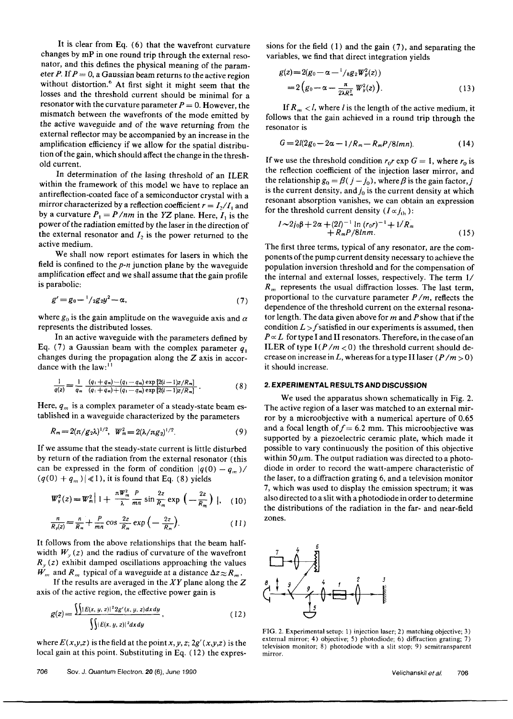It is clear from Eq. (6) that the wavefront curvature changes by mP in one round trip through the external resonator, and this defines the physical meaning of the parameter *P*. If  $P = 0$ , a Gaussian beam returns to the active region without distortion.<sup>6</sup> At first sight it might seem that the losses and the threshold current should be minimal for a resonator with the curvature parameter  $P = 0$ . However, the mismatch between the wavefronts of the mode emitted by the active waveguide and of the wave returning from the external reflector may be accompanied by an increase in the amplification efficiency if we allow for the spatial distribution of the gain, which should affect the change in the threshold current.

In determination of the lasing threshold of an ILER within the framework of this model we have to replace an antireflection-coated face of a semiconductor crystal with a mirror characterized by a reflection coefficient  $r = I_2/I$ , and by a curvature  $P_1 = P/nm$  in the *YZ* plane. Here,  $I_1$  is the power of the radiation emitted by the laser in the direction of the external resonator and  $I_2$  is the power returned to the active medium.

We shall now report estimates for lasers in which the field is confined to the *p-n* junction plane by the waveguide amplification effect and we shall assume that the gain profile is parabolic:

$$
g' = g_0 - \frac{1}{2}g_2y^2 - \alpha,\tag{7}
$$

where  $g_0$  is the gain amplitude on the waveguide axis and  $\alpha$ represents the distributed losses.

In an active waveguide with the parameters defined by Eq. (7) a Gaussian beam with the complex parameter *q,* changes during the propagation along the  $Z$  axis in accordance with the law:<sup>11</sup>

$$
\frac{1}{q(z)} = \frac{1}{q_m} \frac{(q_1 + q_m) - (q_1 - q_m) \exp\left[2(i-1)z/R_m\right]}{(q_1 + q_m) + (q_1 - q_m) \exp\left[2(i-1)z/R_m\right]} \,. \tag{8}
$$

Here,  $q_m$  is a complex parameter of a steady-state beam established in a waveguide characterized by the parameters

$$
R_m = 2(\pi/g_2\lambda)^{1/2}, \ \ W_m^2 = 2(\lambda/\pi g_2)^{1/2}.
$$
 (9)

If we assume that the steady-state current is little disturbed by return of the radiation from the external resonator (this can be expressed in the form of condition  $\left| q(0) - q_m \right|$ /  $(q(0) + q_m) \leq 1$ , it is found that Eq. (8) yields

$$
W_y^2(z) = W_m^2 | 1 + \frac{\pi W_m^2}{\lambda} \frac{P}{mn} \sin \frac{2z}{R_m} \exp \left(-\frac{2z}{R_m}\right) |, \quad (10)
$$

$$
\frac{n}{R_y(z)} = \frac{n}{R_m} + \frac{P}{mn} \cos \frac{2z}{R_m} \exp \left(-\frac{2z}{R_m}\right).
$$
 (11)

It follows from the above relationships that the beam halfwidth  $W_y(z)$  and the radius of curvature of the wavefront  $R_y(z)$  exhibit damped oscillations approaching the values  $W_m$  and  $R_m$  typical of a waveguide at a distance  $\Delta z \approx R_m$ .

If the results are averaged in the *XY* plane along the Z axis of the active region, the effective power gain is

$$
g(z) = \frac{\int |E(x, y, z)|^2 2g'(x, y, z) dx dy}{\int |E(x, y, z)|^2 dx dy},
$$
\n(12)

where  $E(x,y,z)$  is the field at the point x, y, z;  $2g'(x,y,z)$  is the local gain at this point. Substituting in Eq. (12) the expressions for the field (1) and the gain (7), and separating the variables, we find that direct integration yields

$$
g(z) = 2(g_0 - \alpha - \frac{1}{8} g_2 W_y^2(z))
$$
  
= 2(g\_0 - \alpha - \frac{\pi}{2\lambda R\_m^2} W\_y^2(z)). (13)

If  $R_m < l$ , where *l* is the length of the active medium, it follows that the gain achieved in a round trip through the resonator is

$$
G = 2l(2g_0 - 2\alpha - 1/R_m - R_m P/8lmn). \tag{14}
$$

If we use the threshold condition  $r_0 r$  exp  $G = 1$ , where  $r_0$  is the reflection coefficient of the injection laser mirror, and the relationship  $g_0 = \beta(j - j_0)$ , where  $\beta$  is the gain factor, *j* is the current density, and  $j_0$  is the current density at which resonant absorption vanishes, we can obtain an expression for the threshold current density  $(I \propto j_{\text{th}})$ :

$$
l \sim 2j_0\beta + 2\alpha + (2l)^{-1} \ln (r_0r)^{-1} + 1/R_m + R_m P/8lnm.
$$
 (15)

The first three terms, typical of any resonator, are the components of the pump current density necessary to achieve the population inversion threshold and for the compensation of the internal and external losses, respectively. The term I/  $R_m$  represents the usual diffraction losses. The last term, proportional to the curvature parameter *P/m,* reflects the dependence of the threshold current on the external resonator length. The data given above for *m* and *P* show that if the condition  $L > f$  satisfied in our experiments is assumed, then  $P \propto L$  for type I and II resonators. Therefore, in the case of an ILER of type  $I(P/m < 0)$  the threshold current should decrease on increase in L, whereas for a type II laser ( $P/m > 0$ ) it should increase.

# **2. EXPERIMENTAL RESULTS AND DISCUSSION**

We used the apparatus shown schematically in Fig. 2. The active region of a laser was matched to an external mirror by a microobjective with a numerical aperture of 0.65 and a focal length of  $f = 6.2$  mm. This microobjective was supported by a piezoelectric ceramic plate, which made it possible to vary continuously the position of this objective within 50  $\mu$ m. The output radiation was directed to a photodiode in order to record the watt-ampere characteristic of the laser, to a diffraction grating 6, and a television monitor 7, which was used to display the emission spectrum; it was also directed to a slit with a photodiode in order to determine the distributions of the radiation in the far- and near-field zones.



FIG. 2. Experimental setup: 1) injection laser; 2) matching objective; 3) external mirror; 4) objective; 5) photodiode; 6) diffraction grating; 7) television monitor; 8) photodiode with a slit stop; 9) semitransparent mirror.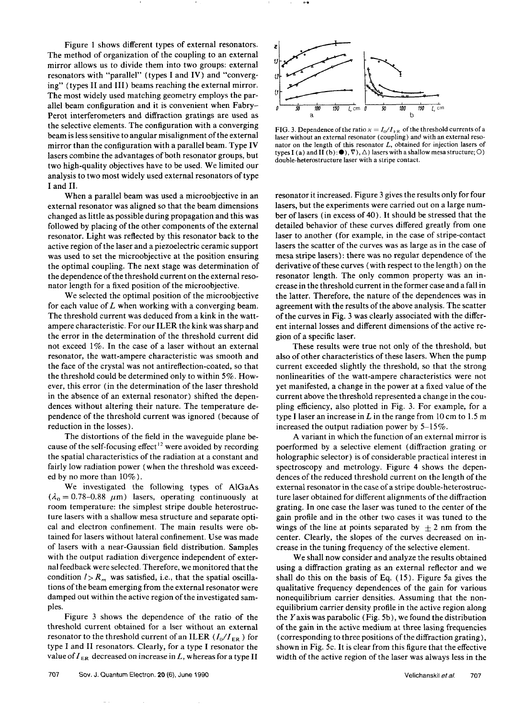Figure 1 shows different types of external resonators. The method of organization of the coupling to an external mirror allows us to divide them into two groups: external resonators with "parallel" (types I and IV) and "converging" (types II and III) beams reaching the external mirror. The most widely used matching geometry employs the parallel beam configuration and it is convenient when Fabry-Perot interferometers and diffraction gratings are used as the selective elements. The configuration with a converging beam is less sensitive to angular misalignment of the external mirror than the configuration with a parallel beam. Type IV lasers combine the advantages of both resonator groups, but two high-quality objectives have to be used. We limited our analysis to two most widely used external resonators of type I and II.

When a parallel beam was used a microobjective in an external resonator was aligned so that the beam dimensions changed as little as possible during propagation and this was followed by placing of the other components of the external resonator. Light was reflected by this resonator back to the active region of the laser and a piezoelectric ceramic support was used to set the microobjective at the position ensuring the optimal coupling. The next stage was determination of the dependence of the threshold current on the external resonator length for a fixed position of the microobjective.

We selected the optimal position of the microobjective for each value of *L* when working with a converging beam. The threshold current was deduced from a kink in the wattampere characteristic. For our ILER the kink was sharp and the error in the determination of the threshold current did not exceed 1%. In the case of a laser without an external resonator, the watt-ampere characteristic was smooth and the face of the crystal was not antireflection-coated, so that the threshold could be determined only to within 5%. However, this error (in the determination of the laser threshold in the absence of an external resonator) shifted the dependences without altering their nature. The temperature dependence of the threshold current was ignored (because of reduction in the losses).

The distortions of the field in the waveguide plane because of the self-focusing effect<sup>12</sup> were avoided by recording the spatial characteristics of the radiation at a constant and fairly low radiation power (when the threshold was exceeded by no more than *10%).*

We investigated the following types of AlGaAs  $(\lambda_0 = 0.78 - 0.88 \mu m)$  lasers, operating continuously at room temperature: the simplest stripe double heterostructure lasers with a shallow mesa structure and separate optical and electron confinement. The main results were obtained for lasers without lateral confinement. Use was made of lasers with a near-Gaussian field distribution. Samples with the output radiation divergence independent of external feedback were selected. Therefore, we monitored that the condition  $l > R_m$  was satisfied, i.e., that the spatial oscillations of the beam emerging from the external resonator were damped out within the active region of the investigated samples.

Figure 3 shows the dependence of the ratio of the threshold current obtained for a Iser without an external resonator to the threshold current of an ILER  $(I_0/I_{FR})$  for type I and II resonators. Clearly, for a type I resonator the value of  $I_{ER}$  decreased on increase in L, whereas for a type II



FIG. 3. Dependence of the ratio  $x = I_0/I_{\text{ER}}$  of the threshold currents of a laser without an external resonator (coupling) and with an external resonator on the length of this resonator *L,* obtained for injection lasers of types I (a) and II (b):  $\bullet$ ),  $\nabla$ ),  $\triangle$ ) lasers with a shallow mesa structure; O) double-heterostructure laser with a stripe contact.

resonator it increased. Figure 3 gives the results only for four lasers, but the experiments were carried out on a large number of lasers (in excess of 40). It should be stressed that the detailed behavior of these curves differed greatly from one laser to another (for example, in the case of stripe-contact lasers the scatter of the curves was as large as in the case of mesa stripe lasers): there was no regular dependence of the derivative of these curves (with respect to the length) on the resonator length. The only common property was an increase in the threshold current in the former case and a fall in the latter. Therefore, the nature of the dependences was in agreement with the results of the above analysis. The scatter of the curves in Fig. 3 was clearly associated with the different internal losses and different dimensions of the active region of a specific laser.

These results were true not only of the threshold, but also of other characteristics of these lasers. When the pump current exceeded slightly the threshold, so that the strong nonlinearities of the watt-ampere characteristics were not yet manifested, a change in the power at a fixed value of the current above the threshold represented a change in the coupling efficiency, also plotted in Fig. 3. For example, for a type I laser an increase in *L* in the range from 10 cm to 1.5m increased the output radiation power by  $5-15\%$ .

A variant in which the function of an external mirror is poerformed by a selective element (diffraction grating or holographic selector) is of considerable practical interest in spectroscopy and metrology. Figure 4 shows the dependences of the reduced threshold current on the length of the external resonator in the case of a stripe double-heterostructure laser obtained for different alignments of the diffraction grating. In one case the laser was tuned to the center of the gain profile and in the other two cases it was tuned to the wings of the line at points separated by  $\pm 2$  nm from the center. Clearly, the slopes of the curves decreased on increase in the tuning frequency of the selective element.

We shall now consider and analyze the results obtained using a diffraction grating as an external reflector and we shall do this on the basis of Eq. (15). Figure 5a gives the qualitative frequency dependences of the gain for various nonequilibrium carrier densities. Assuming that the nonequilibrium carrier density profile in the active region along the *Y*axis was parabolic (Fig. 5b), we found the distribution of the gain in the active medium at three lasing frequencies (corresponding to three positions of the diffraction grating), shown in Fig. 5c. It is clear from this figure that the effective width of the active region of the laser was always less in the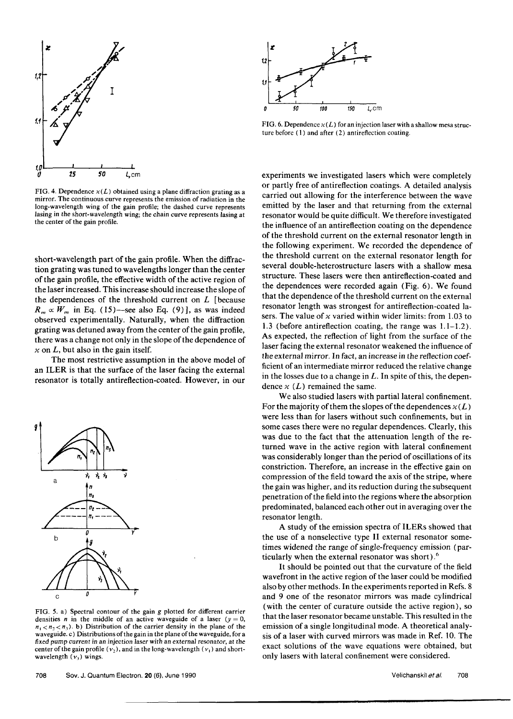

FIG. 4. Dependence  $x(L)$  obtained using a plane diffraction grating as a mirror. The continuous curve represents the emission of radiation in the long-wavelength wing of the gain profile; the dashed curve represents lasing in the short-wavelength wing; the chain curve represents lasing at the center of the gain profile.

short-wavelength part of the gain profile. When the diffraction grating was tuned to wavelengths longer than the center of the gain profile, the effective width of the active region of the laser increased. This increase should increase the slope of the dependences of the threshold current on *L* [because the dependences of the threshold current on  $L$  [because  $R_m \propto W_m$  in Eq. (15)—see also Eq. (9)], as was indeed observed experimentally. Naturally, when the diffraction grating was detuned away from the center of the gain profile, there was a change not only in the slope of the dependence of  $x$  on  $L$ , but also in the gain itself.

The most restrictive assumption in the above model of an ILER is that the surface of the laser facing the external resonator is totally antireflection-coated. However, in our



FIG. 5. a) Spectral contour of the gain *g* plotted for different carrier densities *n* in the middle of an active waveguide of a laser  $(y = 0)$ ,  $n_1 < n_2 < n_3$ ). b) Distribution of the carrier density in the plane of the waveguide, c) Distributions of the gain in the plane of the waveguide, for a fixed pump current in an injection laser with an external resonator, at the center of the gain profile ( $v_2$ ), and in the long-wavelength ( $v_1$ ) and shortwavelength  $(v_3)$  wings.



FIG. 6. Dependence  $\varkappa(L)$  for an injection laser with a shallow mesa structure before (1) and after (2) antireflection coating.

experiments we investigated lasers which were completely or partly free of antireflection coatings. A detailed analysis carried out allowing for the interference between the wave emitted by the laser and that returning from the external resonator would be quite difficult. We therefore investigated the influence of an antireflection coating on the dependence of the threshold current on the external resonator length in the following experiment. We recorded the dependence of the threshold current on the external resonator length for several double-heterostructure lasers with a shallow mesa structure. These lasers were then antireflection-coated and the dependences were recorded again (Fig. 6). We found that the dependence of the threshold current on the external resonator length was strongest for antireflection-coated lasers. The value of  $x$  varied within wider limits: from 1.03 to 1.3 (before antireflection coating, the range was 1.1-1.2). As expected, the reflection of light from the surface of the laser facing the external resonator weakened the influence of the external mirror. In fact, an increase in the reflection coefficient of an intermediate mirror reduced the relative change in the losses due to a change in *L.* In spite of this, the dependence  $\kappa$  ( $L$ ) remained the same.

We also studied lasers with partial lateral confinement. For the majority of them the slopes of the dependences  $x(L)$ were less than for lasers without such confinements, but in some cases there were no regular dependences. Clearly, this was due to the fact that the attenuation length of the returned wave in the active region with lateral confinement was considerably longer than the period of oscillations of its constriction. Therefore, an increase in the effective gain on compression of the field toward the axis of the stripe, where the gain was higher, and its reduction during the subsequent penetration of the field into the regions where the absorption predominated, balanced each other out in averaging over the resonator length.

A study of the emission spectra of ILERs showed that the use of a nonselective type II external resonator sometimes widened the range of single-frequency emission (particularly when the external resonator was short).<sup>6</sup>

It should be pointed out that the curvature of the field wavefront in the active region of the laser could be modified also by other methods. In the experiments reported in Refs. 8 and 9 one of the resonator mirrors was made cylindrical (with the center of curature outside the active region), so that the laser resonator became unstable. This resulted in the emission of a single longitudinal mode. A theoretical analysis of a laser with curved mirrors was made in Ref. 10. The exact solutions of the wave equations were obtained, but only lasers with lateral confinement were considered.